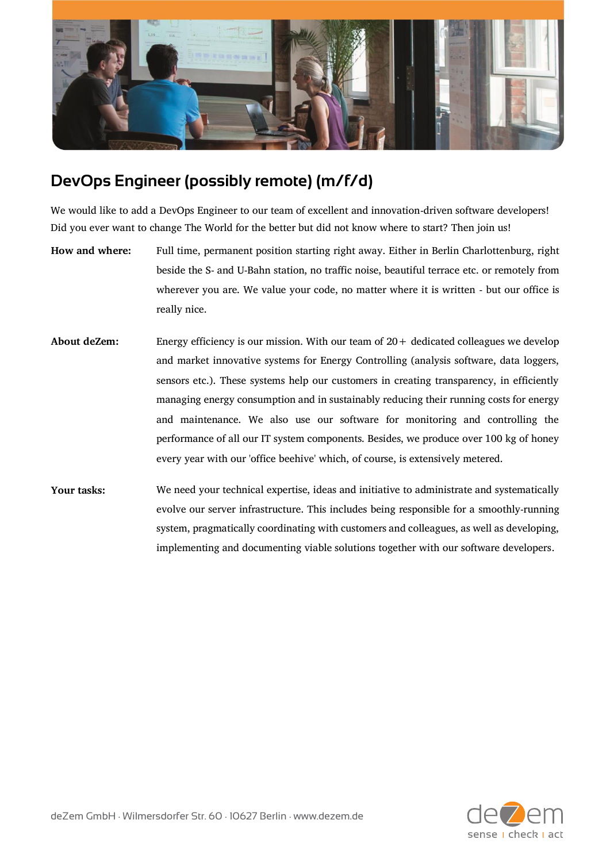

## **DevOps Engineer (possibly remote) (m/f/d)**

We would like to add a DevOps Engineer to our team of excellent and innovation-driven software developers! Did you ever want to change The World for the better but did not know where to start? Then join us!

- **How and where:** Full time, permanent position starting right away. Either in Berlin Charlottenburg, right beside the S- and U-Bahn station, no traffic noise, beautiful terrace etc. or remotely from wherever you are. We value your code, no matter where it is written - but our office is really nice.
- About deZem: Energy efficiency is our mission. With our team of  $20 +$  dedicated colleagues we develop and market innovative systems for Energy Controlling (analysis software, data loggers, sensors etc.). These systems help our customers in creating transparency, in efficiently managing energy consumption and in sustainably reducing their running costs for energy and maintenance. We also use our software for monitoring and controlling the performance of all our IT system components. Besides, we produce over 100 kg of honey every year with our 'office beehive' which, of course, is extensively metered.
- **Your tasks:** We need your technical expertise, ideas and initiative to administrate and systematically evolve our server infrastructure. This includes being responsible for a smoothly-running system, pragmatically coordinating with customers and colleagues, as well as developing, implementing and documenting viable solutions together with our software developers.

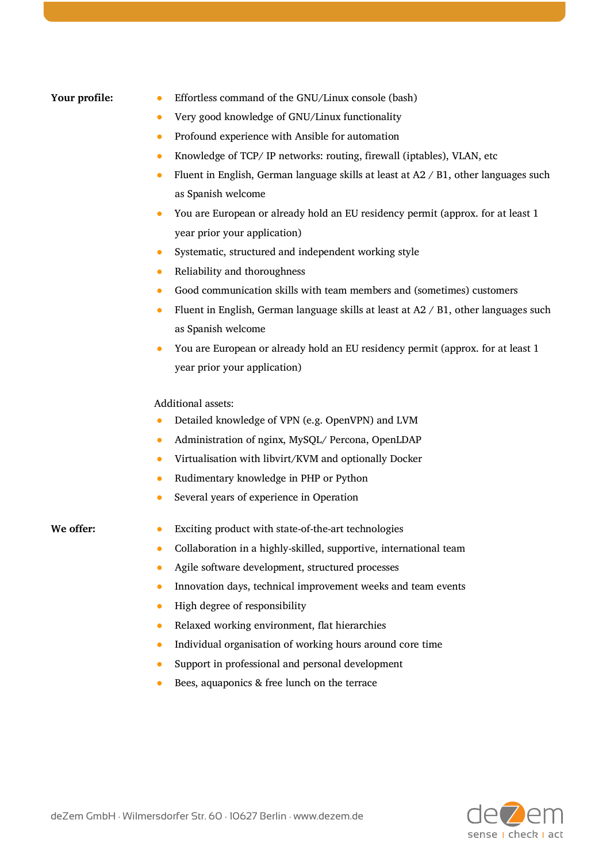- **Your profile:** <br> **•** Effortless command of the GNU/Linux console (bash)
	- Very good knowledge of GNU/Linux functionality
	- Profound experience with Ansible for automation
	- Knowledge of TCP/ IP networks: routing, firewall (iptables), VLAN, etc
	- Fluent in English, German language skills at least at  $A2 \, / B1$ , other languages such as Spanish welcome
	- You are European or already hold an EU residency permit (approx. for at least 1 year prior your application)
	- Systematic, structured and independent working style
	- Reliability and thoroughness
	- Good communication skills with team members and (sometimes) customers
	- Fluent in English, German language skills at least at A2 / B1, other languages such as Spanish welcome
	- You are European or already hold an EU residency permit (approx. for at least 1 year prior your application)

## Additional assets:

- Detailed knowledge of VPN (e.g. OpenVPN) and LVM
- Administration of nginx, MySQL/ Percona, OpenLDAP
- Virtualisation with libvirt/KVM and optionally Docker
- Rudimentary knowledge in PHP or Python
- Several years of experience in Operation

- We offer: <br> **•** Exciting product with state-of-the-art technologies
	- Collaboration in a highly-skilled, supportive, international team
	- Agile software development, structured processes
	- Innovation days, technical improvement weeks and team events
	- High degree of responsibility
	- Relaxed working environment, flat hierarchies
	- Individual organisation of working hours around core time
	- Support in professional and personal development
	- Bees, aquaponics & free lunch on the terrace